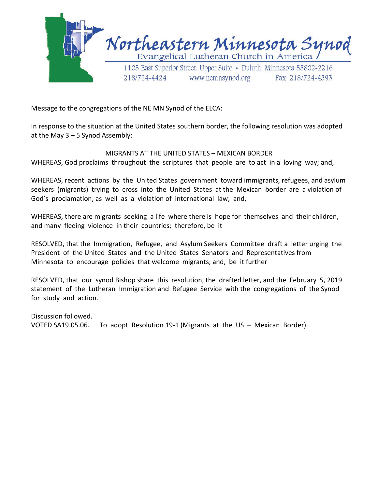

Message to the congregations of the NE MN Synod of the ELCA:

In response to the situation at the United States southern border, the following resolution was adopted at the May 3 – 5 Synod Assembly:

## MIGRANTS AT THE UNITED STATES – MEXICAN BORDER

WHEREAS, God proclaims throughout the scriptures that people are to act in a loving way; and,

WHEREAS, recent actions by the United States government toward immigrants, refugees, and asylum seekers (migrants) trying to cross into the United States at the Mexican border are a violation of God's proclamation, as well as a violation of international law; and,

WHEREAS, there are migrants seeking a life where there is hope for themselves and their children, and many fleeing violence in their countries; therefore, be it

RESOLVED, that the Immigration, Refugee, and Asylum Seekers Committee draft a letter urging the President of the United States and the United States Senators and Representatives from Minnesota to encourage policies that welcome migrants; and, be it further

RESOLVED, that our synod Bishop share this resolution, the drafted letter, and the February 5, 2019 statement of the Lutheran Immigration and Refugee Service with the congregations of the Synod for study and action.

Discussion followed. VOTED SA19.05.06. To adopt Resolution 19-1 (Migrants at the US – Mexican Border).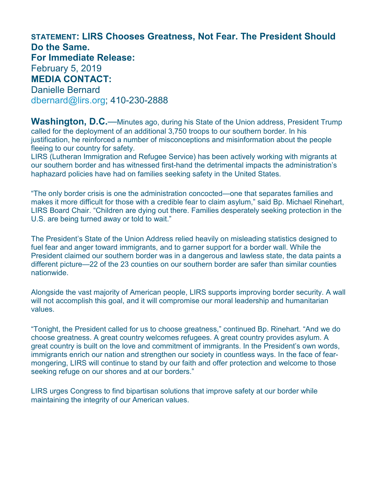## **STATEMENT: LIRS Chooses Greatness, Not Fear. The President Should Do the Same. For Immediate Release:** February 5, 2019 **MEDIA CONTACT:** Danielle Bernard [dbernard@lirs.org;](mailto:dbernard@lirs.org) 410-230-2888

**Washington, D.C.**—Minutes ago, during his State of the Union address, President Trump called for the deployment of an additional 3,750 troops to our southern border. In his justification, he reinforced a number of misconceptions and misinformation about the people fleeing to our country for safety.

LIRS (Lutheran Immigration and Refugee Service) has been actively working with migrants at our southern border and has witnessed first-hand the detrimental impacts the administration's haphazard policies have had on families seeking safety in the United States.

"The only border crisis is one the administration concocted—one that separates families and makes it more difficult for those with a credible fear to claim asylum," said Bp. Michael Rinehart, LIRS Board Chair. "Children are dying out there. Families desperately seeking protection in the U.S. are being turned away or told to wait."

The President's State of the Union Address relied heavily on misleading statistics designed to fuel fear and anger toward immigrants, and to garner support for a border wall. While the President claimed our southern border was in a dangerous and lawless state, the data paints a different picture—22 of the 23 counties on our southern border are safer than similar counties nationwide.

Alongside the vast majority of American people, LIRS supports improving border security. A wall will not accomplish this goal, and it will compromise our moral leadership and humanitarian values.

"Tonight, the President called for us to choose greatness," continued Bp. Rinehart. "And we do choose greatness. A great country welcomes refugees. A great country provides asylum. A great country is built on the love and commitment of immigrants. In the President's own words, immigrants enrich our nation and strengthen our society in countless ways. In the face of fearmongering, LIRS will continue to stand by our faith and offer protection and welcome to those seeking refuge on our shores and at our borders."

LIRS urges Congress to find bipartisan solutions that improve safety at our border while maintaining the integrity of our American values.